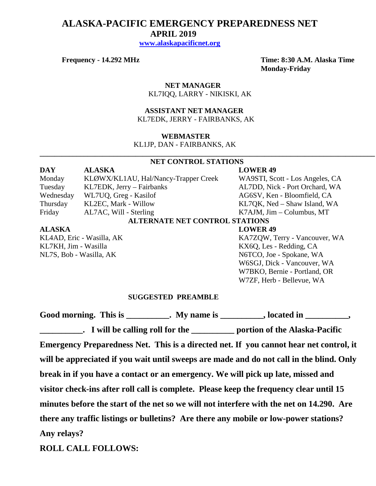# **ALASKA-PACIFIC EMERGENCY PREPAREDNESS NET APRIL 2019**

 **[www.alaskapacificnet.org](http://www.alaskapacificnet.org/)**

**Frequency - 14.292 MHz Time: 8:30 A.M. Alaska Time Monday-Friday**

> **NET MANAGER** KL7IQQ, LARRY - NIKISKI, AK

#### **ASSISTANT NET MANAGER**  KL7EDK, JERRY - FAIRBANKS, AK

#### **WEBMASTER**

KL1JP, DAN - FAIRBANKS, AK

#### **NET CONTROL STATIONS**

**\_\_\_\_\_\_\_\_\_\_\_\_\_\_\_\_\_\_\_\_\_\_\_\_\_\_\_\_\_\_\_\_\_\_\_\_\_\_\_\_\_\_\_\_\_\_\_\_\_\_\_\_\_\_\_\_\_\_\_\_\_\_\_\_\_\_\_\_\_\_\_\_\_\_\_\_\_\_\_\_\_\_\_\_\_\_\_\_\_\_\_**

### **DAY ALASKA LOWER 49** Monday KLØWX/KL1AU, Hal/Nancy-Trapper Creek WA9STI, Scott - Los Angeles, CA Tuesday KL7EDK, Jerry – Fairbanks AL7DD, Nick - Port Orchard, WA Wednesday WL7UQ, Greg - Kasilof AG6SV, Ken - Bloomfield, CA Thursday KL2EC, Mark - Willow KL7QK, Ned – Shaw Island, WA Friday AL7AC, Will - Sterling K7AJM, Jim – Columbus, MT **ALTERNATE NET CONTROL STATIONS ALASKA LOWER 49** KL4AD, Eric - Wasilla, AK KA7ZQW, Terry - Vancouver, WA

KL7KH, Jim - Wasilla<br>
NL7S, Bob - Wasilla, AK<br>
N6TCO, Joe - Spokane, W.

N6TCO, Joe - Spokane, WA W6SGJ, Dick - Vancouver, WA W7BKO, Bernie - Portland, OR W7ZF, Herb - Bellevue, WA

#### **SUGGESTED PREAMBLE**

Good morning. This is \_\_\_\_\_\_\_\_\_\_. My name is \_\_\_\_\_\_\_\_, located in \_\_\_\_\_\_\_\_\_,

**\_\_\_\_\_\_\_\_\_\_. I will be calling roll for the \_\_\_\_\_\_\_\_\_\_ portion of the Alaska-Pacific Emergency Preparedness Net. This is a directed net. If you cannot hear net control, it will be appreciated if you wait until sweeps are made and do not call in the blind. Only break in if you have a contact or an emergency. We will pick up late, missed and visitor check-ins after roll call is complete. Please keep the frequency clear until 15 minutes before the start of the net so we will not interfere with the net on 14.290. Are there any traffic listings or bulletins? Are there any mobile or low-power stations? Any relays?** 

**ROLL CALL FOLLOWS:**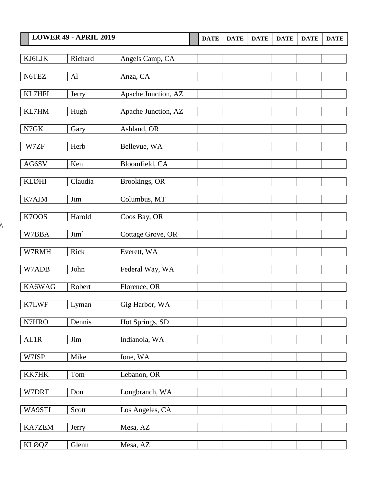|                              | <b>LOWER 49 - APRIL 2019</b> |                     | <b>DATE</b> | <b>DATE</b> | <b>DATE</b> | <b>DATE</b> | <b>DATE</b> | <b>DATE</b> |
|------------------------------|------------------------------|---------------------|-------------|-------------|-------------|-------------|-------------|-------------|
|                              |                              |                     |             |             |             |             |             |             |
| KJ6LJK                       | Richard                      | Angels Camp, CA     |             |             |             |             |             |             |
| N6TEZ                        | AI                           | Anza, CA            |             |             |             |             |             |             |
|                              |                              |                     |             |             |             |             |             |             |
| KL7HFI                       | Jerry                        | Apache Junction, AZ |             |             |             |             |             |             |
| KL7HM                        | Hugh                         | Apache Junction, AZ |             |             |             |             |             |             |
| $\ensuremath{\mathsf{N7GK}}$ | Gary                         | Ashland, OR         |             |             |             |             |             |             |
|                              |                              |                     |             |             |             |             |             |             |
| W7ZF                         | Herb                         | Bellevue, WA        |             |             |             |             |             |             |
| AG6SV                        | Ken                          | Bloomfield, CA      |             |             |             |             |             |             |
|                              |                              |                     |             |             |             |             |             |             |
| KLØHI                        | Claudia                      | Brookings, OR       |             |             |             |             |             |             |
| K7AJM                        | Jim                          | Columbus, MT        |             |             |             |             |             |             |
|                              |                              |                     |             |             |             |             |             |             |
| K7OOS                        | Harold                       | Coos Bay, OR        |             |             |             |             |             |             |
| W7BBA                        | Jim`                         | Cottage Grove, OR   |             |             |             |             |             |             |
| W7RMH                        | Rick                         | Everett, WA         |             |             |             |             |             |             |
|                              |                              |                     |             |             |             |             |             |             |
| W7ADB                        | John                         | Federal Way, WA     |             |             |             |             |             |             |
| KA6WAG                       | Robert                       | Florence, OR        |             |             |             |             |             |             |
|                              |                              |                     |             |             |             |             |             |             |
| K7LWF                        | Lyman                        | Gig Harbor, WA      |             |             |             |             |             |             |
| N7HRO                        | Dennis                       | Hot Springs, SD     |             |             |             |             |             |             |
|                              |                              |                     |             |             |             |             |             |             |
| <b>AL1R</b>                  | Jim                          | Indianola, WA       |             |             |             |             |             |             |
| W7ISP                        | Mike                         | Ione, WA            |             |             |             |             |             |             |
|                              |                              |                     |             |             |             |             |             |             |
| KK7HK                        | Tom                          | Lebanon, OR         |             |             |             |             |             |             |
| W7DRT                        | Don                          | Longbranch, WA      |             |             |             |             |             |             |
| WA9STI                       | Scott                        | Los Angeles, CA     |             |             |             |             |             |             |
|                              |                              |                     |             |             |             |             |             |             |
| KA7ZEM                       | Jerry                        | Mesa, AZ            |             |             |             |             |             |             |
| <b>KLØQZ</b>                 | Glenn                        | Mesa, AZ            |             |             |             |             |             |             |
|                              |                              |                     |             |             |             |             |             |             |

 $\overline{\mathcal{N}}$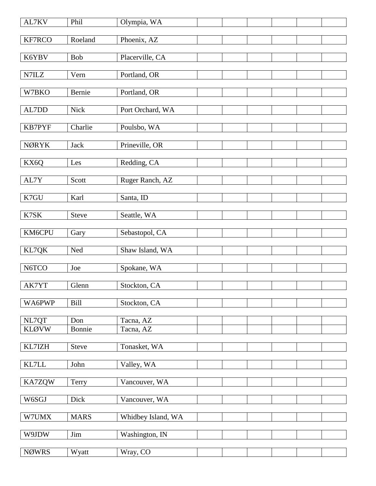| AL7KV                 | Phil          | Olympia, WA            |  |  |  |
|-----------------------|---------------|------------------------|--|--|--|
| KF7RCO                | Roeland       | Phoenix, AZ            |  |  |  |
| K6YBV                 | Bob           | Placerville, CA        |  |  |  |
|                       |               |                        |  |  |  |
| N7ILZ                 | Vern          | Portland, OR           |  |  |  |
| W7BKO                 | Bernie        | Portland, OR           |  |  |  |
| AL7DD                 | Nick          | Port Orchard, WA       |  |  |  |
| <b>KB7PYF</b>         | Charlie       | Poulsbo, WA            |  |  |  |
|                       |               |                        |  |  |  |
| <b>NØRYK</b>          | Jack          | Prineville, OR         |  |  |  |
| KX6Q                  | Les           | Redding, CA            |  |  |  |
| AL7Y                  | Scott         | Ruger Ranch, AZ        |  |  |  |
|                       |               |                        |  |  |  |
| K7GU                  | Karl          | Santa, ID              |  |  |  |
| K7SK                  | Steve         | Seattle, WA            |  |  |  |
| KM6CPU                | Gary          | Sebastopol, CA         |  |  |  |
| KL7QK                 | Ned           | Shaw Island, WA        |  |  |  |
|                       |               |                        |  |  |  |
| N6TCO                 | Joe           | Spokane, WA            |  |  |  |
| AK7YT                 | Glenn         | Stockton, CA           |  |  |  |
| WA6PWP                | <b>Bill</b>   | Stockton, CA           |  |  |  |
|                       |               |                        |  |  |  |
| NL7QT<br><b>KLØVW</b> | Don<br>Bonnie | Tacna, AZ<br>Tacna, AZ |  |  |  |
|                       |               |                        |  |  |  |
| KL7IZH                | <b>Steve</b>  | Tonasket, WA           |  |  |  |
| $\text{KL7LL}$        | John          | Valley, WA             |  |  |  |
| KA7ZQW                | Terry         | Vancouver, WA          |  |  |  |
| W6SGJ                 | Dick          | Vancouver, WA          |  |  |  |
|                       |               |                        |  |  |  |
| W7UMX                 | <b>MARS</b>   | Whidbey Island, WA     |  |  |  |
| W9JDW                 | Jim           | Washington, IN         |  |  |  |
| <b>NØWRS</b>          | Wyatt         | Wray, CO               |  |  |  |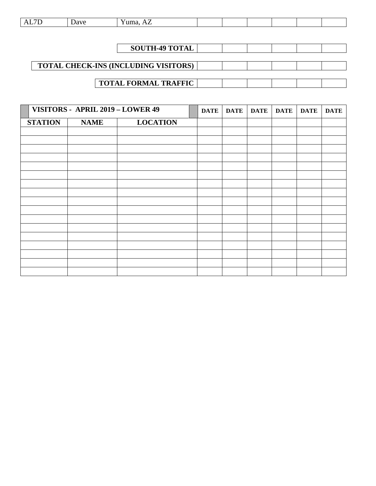| the contract of the contract of the<br>. | --- |  |  |  |  |  |  |  |
|------------------------------------------|-----|--|--|--|--|--|--|--|
|------------------------------------------|-----|--|--|--|--|--|--|--|

| <b>SOUTH-49 TOTAL</b>                       |  |  |  |
|---------------------------------------------|--|--|--|
|                                             |  |  |  |
| <b>TOTAL CHECK-INS (INCLUDING VISITORS)</b> |  |  |  |
|                                             |  |  |  |
| <b>TOTAL FORMAL TRAFFIC</b>                 |  |  |  |

|                | VISITORS - APRIL 2019 - LOWER 49 |                 | <b>DATE</b> | DATE | <b>DATE</b> | <b>DATE</b> | <b>DATE</b> | <b>DATE</b> |
|----------------|----------------------------------|-----------------|-------------|------|-------------|-------------|-------------|-------------|
| <b>STATION</b> | <b>NAME</b>                      | <b>LOCATION</b> |             |      |             |             |             |             |
|                |                                  |                 |             |      |             |             |             |             |
|                |                                  |                 |             |      |             |             |             |             |
|                |                                  |                 |             |      |             |             |             |             |
|                |                                  |                 |             |      |             |             |             |             |
|                |                                  |                 |             |      |             |             |             |             |
|                |                                  |                 |             |      |             |             |             |             |
|                |                                  |                 |             |      |             |             |             |             |
|                |                                  |                 |             |      |             |             |             |             |
|                |                                  |                 |             |      |             |             |             |             |
|                |                                  |                 |             |      |             |             |             |             |
|                |                                  |                 |             |      |             |             |             |             |
|                |                                  |                 |             |      |             |             |             |             |
|                |                                  |                 |             |      |             |             |             |             |
|                |                                  |                 |             |      |             |             |             |             |
|                |                                  |                 |             |      |             |             |             |             |
|                |                                  |                 |             |      |             |             |             |             |
|                |                                  |                 |             |      |             |             |             |             |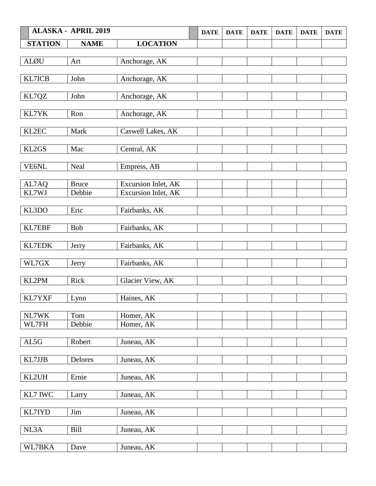|                | <b>ALASKA - APRIL 2019</b> |                                            | <b>DATE</b> | <b>DATE</b> | <b>DATE</b> | <b>DATE</b> | <b>DATE</b> | <b>DATE</b> |
|----------------|----------------------------|--------------------------------------------|-------------|-------------|-------------|-------------|-------------|-------------|
| <b>STATION</b> | <b>NAME</b>                | <b>LOCATION</b>                            |             |             |             |             |             |             |
|                |                            |                                            |             |             |             |             |             |             |
| <b>ALØU</b>    | Art                        | Anchorage, AK                              |             |             |             |             |             |             |
| KL7ICB         | John                       |                                            |             |             |             |             |             |             |
|                |                            | Anchorage, AK                              |             |             |             |             |             |             |
| KL7QZ          | John                       | Anchorage, AK                              |             |             |             |             |             |             |
|                |                            |                                            |             |             |             |             |             |             |
| KL7YK          | Ron                        | Anchorage, AK                              |             |             |             |             |             |             |
|                | Mark                       |                                            |             |             |             |             |             |             |
| KL2EC          |                            | Caswell Lakes, AK                          |             |             |             |             |             |             |
| KL2GS          | Mac                        | Central, AK                                |             |             |             |             |             |             |
|                |                            |                                            |             |             |             |             |             |             |
| VE6NL          | Neal                       | Empress, AB                                |             |             |             |             |             |             |
|                |                            |                                            |             |             |             |             |             |             |
| AL7AQ<br>KL7WJ | <b>Bruce</b><br>Debbie     | Excursion Inlet, AK<br>Excursion Inlet, AK |             |             |             |             |             |             |
|                |                            |                                            |             |             |             |             |             |             |
| KL3DO          | Eric                       | Fairbanks, AK                              |             |             |             |             |             |             |
|                |                            |                                            |             |             |             |             |             |             |
| KL7EBF         | <b>Bob</b>                 | Fairbanks, AK                              |             |             |             |             |             |             |
| KL7EDK         | Jerry                      | Fairbanks, AK                              |             |             |             |             |             |             |
|                |                            |                                            |             |             |             |             |             |             |
| WL7GX          | Jerry                      | Fairbanks, AK                              |             |             |             |             |             |             |
|                |                            |                                            |             |             |             |             |             |             |
| KL2PM          | Rick                       | Glacier View, AK                           |             |             |             |             |             |             |
| KL7YXF         | Lynn                       | Haines, AK                                 |             |             |             |             |             |             |
|                |                            |                                            |             |             |             |             |             |             |
| NL7WK          | Tom                        | Homer, AK                                  |             |             |             |             |             |             |
| WL7FH          | Debbie                     | Homer, AK                                  |             |             |             |             |             |             |
|                |                            |                                            |             |             |             |             |             |             |
| AL5G           | Robert                     | Juneau, AK                                 |             |             |             |             |             |             |
| KL7JJB         | Delores                    | Juneau, AK                                 |             |             |             |             |             |             |
|                |                            |                                            |             |             |             |             |             |             |
| KL2UH          | Ernie                      | Juneau, AK                                 |             |             |             |             |             |             |
|                |                            |                                            |             |             |             |             |             |             |
| KL7 IWC        | Larry                      | Juneau, AK                                 |             |             |             |             |             |             |
| KL7IYD         | Jim                        | Juneau, AK                                 |             |             |             |             |             |             |
|                |                            |                                            |             |             |             |             |             |             |
| NL3A           | Bill                       | Juneau, AK                                 |             |             |             |             |             |             |
|                |                            |                                            |             |             |             |             |             |             |
| WL7BKA         | Dave                       | Juneau, AK                                 |             |             |             |             |             |             |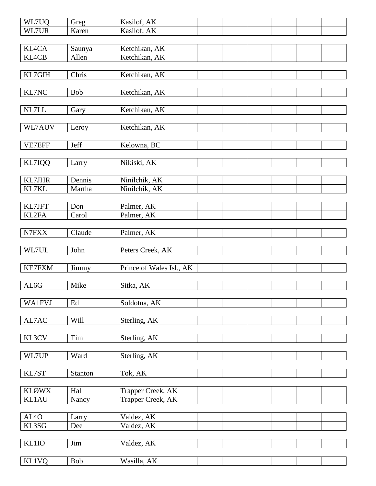| WL7UQ             | Greg                | Kasilof, AK              |  |  |  |
|-------------------|---------------------|--------------------------|--|--|--|
| WL7UR             | Karen               | Kasilof, AK              |  |  |  |
|                   |                     |                          |  |  |  |
| <b>KL4CA</b>      | Saunya              | Ketchikan, AK            |  |  |  |
| <b>KL4CB</b>      | Allen               | Ketchikan, AK            |  |  |  |
|                   |                     |                          |  |  |  |
| KL7GIH            | Chris               | Ketchikan, AK            |  |  |  |
|                   |                     |                          |  |  |  |
| KL7NC             | Bob                 | Ketchikan, AK            |  |  |  |
|                   |                     |                          |  |  |  |
| $\it NL7LL$       | Gary                | Ketchikan, AK            |  |  |  |
|                   |                     |                          |  |  |  |
| WL7AUV            | Leroy               | Ketchikan, AK            |  |  |  |
|                   |                     |                          |  |  |  |
| VE7EFF            | Jeff                | Kelowna, BC              |  |  |  |
|                   |                     |                          |  |  |  |
| KL7IQQ            | Larry               | Nikiski, AK              |  |  |  |
|                   |                     |                          |  |  |  |
| KL7JHR            | Dennis              | Ninilchik, AK            |  |  |  |
| KL7KL             | Martha              | Ninilchik, AK            |  |  |  |
|                   |                     |                          |  |  |  |
| KL7JFT            | Don                 | Palmer, AK               |  |  |  |
| KL2FA             | Carol               | Palmer, AK               |  |  |  |
|                   |                     |                          |  |  |  |
| N7FXX             |                     |                          |  |  |  |
|                   | Claude              | Palmer, AK               |  |  |  |
|                   |                     |                          |  |  |  |
| WL7UL             | John                | Peters Creek, AK         |  |  |  |
| <b>KE7FXM</b>     |                     |                          |  |  |  |
|                   | Jimmy               | Prince of Wales Isl., AK |  |  |  |
|                   | Mike                |                          |  |  |  |
| AL6G              |                     | Sitka, AK                |  |  |  |
|                   |                     |                          |  |  |  |
| <b>WA1FVJ</b>     | $\operatorname{Ed}$ | Soldotna, AK             |  |  |  |
|                   |                     |                          |  |  |  |
| AL7AC             | Will                | Sterling, AK             |  |  |  |
|                   |                     |                          |  |  |  |
| KL3CV             | Tim                 | Sterling, AK             |  |  |  |
|                   |                     |                          |  |  |  |
| WL7UP             | Ward                | Sterling, AK             |  |  |  |
|                   |                     |                          |  |  |  |
| KL7ST             | Stanton             | Tok, AK                  |  |  |  |
|                   |                     |                          |  |  |  |
| <b>KLØWX</b>      | Hal                 | Trapper Creek, AK        |  |  |  |
| <b>KL1AU</b>      | Nancy               | Trapper Creek, AK        |  |  |  |
|                   |                     |                          |  |  |  |
| AL <sub>4</sub> O | Larry               | Valdez, AK               |  |  |  |
| KL3SG             | Dee                 | Valdez, AK               |  |  |  |
|                   |                     |                          |  |  |  |
| <b>KL1IO</b>      | Jim                 | Valdez, AK               |  |  |  |
|                   |                     |                          |  |  |  |
| <b>KL1VQ</b>      | Bob                 | Wasilla, AK              |  |  |  |